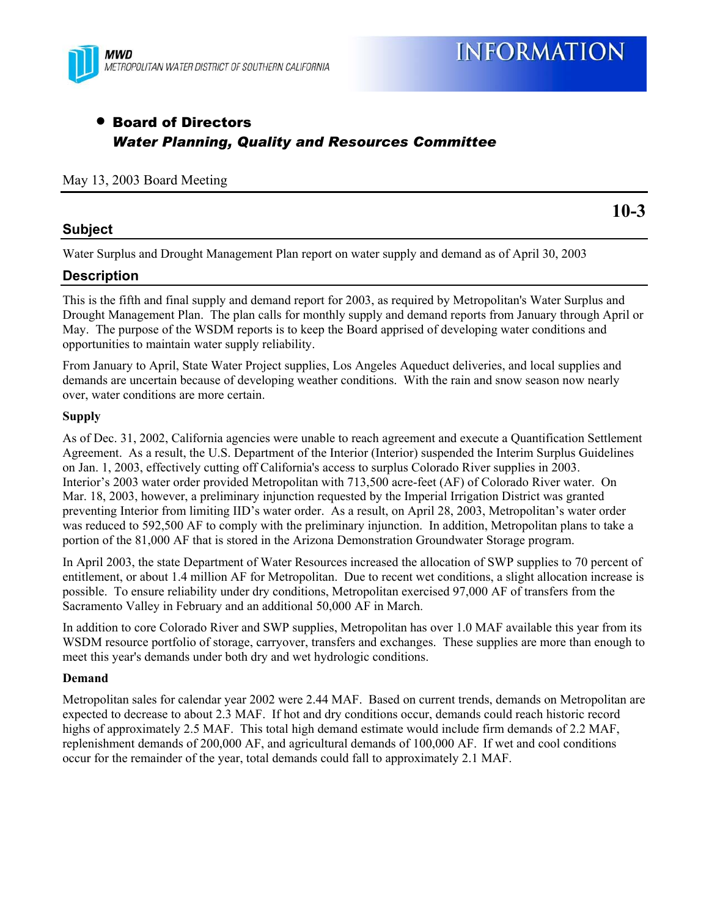

# • Board of Directors *Water Planning, Quality and Resources Committee*

#### May 13, 2003 Board Meeting

## **Subject**

**10-3**

Water Surplus and Drought Management Plan report on water supply and demand as of April 30, 2003

## **Description**

This is the fifth and final supply and demand report for 2003, as required by Metropolitan's Water Surplus and Drought Management Plan. The plan calls for monthly supply and demand reports from January through April or May. The purpose of the WSDM reports is to keep the Board apprised of developing water conditions and opportunities to maintain water supply reliability.

From January to April, State Water Project supplies, Los Angeles Aqueduct deliveries, and local supplies and demands are uncertain because of developing weather conditions. With the rain and snow season now nearly over, water conditions are more certain.

#### **Supply**

As of Dec. 31, 2002, California agencies were unable to reach agreement and execute a Quantification Settlement Agreement. As a result, the U.S. Department of the Interior (Interior) suspended the Interim Surplus Guidelines on Jan. 1, 2003, effectively cutting off California's access to surplus Colorado River supplies in 2003. Interior's 2003 water order provided Metropolitan with 713,500 acre-feet (AF) of Colorado River water. On Mar. 18, 2003, however, a preliminary injunction requested by the Imperial Irrigation District was granted preventing Interior from limiting IID's water order. As a result, on April 28, 2003, Metropolitan's water order was reduced to 592,500 AF to comply with the preliminary injunction. In addition, Metropolitan plans to take a portion of the 81,000 AF that is stored in the Arizona Demonstration Groundwater Storage program.

In April 2003, the state Department of Water Resources increased the allocation of SWP supplies to 70 percent of entitlement, or about 1.4 million AF for Metropolitan. Due to recent wet conditions, a slight allocation increase is possible. To ensure reliability under dry conditions, Metropolitan exercised 97,000 AF of transfers from the Sacramento Valley in February and an additional 50,000 AF in March.

In addition to core Colorado River and SWP supplies, Metropolitan has over 1.0 MAF available this year from its WSDM resource portfolio of storage, carryover, transfers and exchanges. These supplies are more than enough to meet this year's demands under both dry and wet hydrologic conditions.

#### **Demand**

Metropolitan sales for calendar year 2002 were 2.44 MAF. Based on current trends, demands on Metropolitan are expected to decrease to about 2.3 MAF. If hot and dry conditions occur, demands could reach historic record highs of approximately 2.5 MAF. This total high demand estimate would include firm demands of 2.2 MAF, replenishment demands of 200,000 AF, and agricultural demands of 100,000 AF. If wet and cool conditions occur for the remainder of the year, total demands could fall to approximately 2.1 MAF.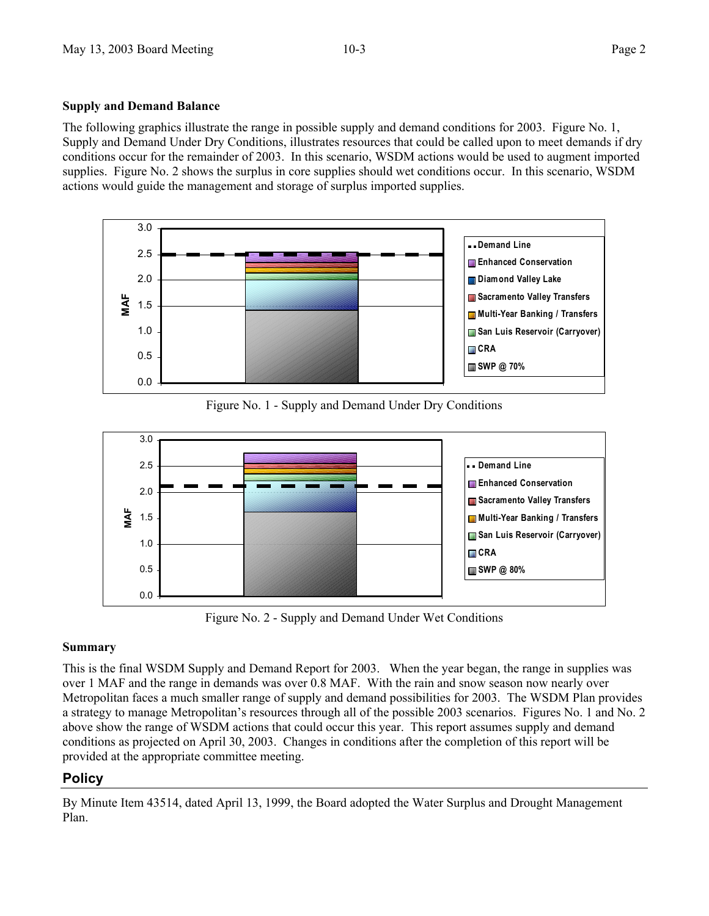#### **Supply and Demand Balance**

The following graphics illustrate the range in possible supply and demand conditions for 2003. Figure No. 1, Supply and Demand Under Dry Conditions, illustrates resources that could be called upon to meet demands if dry conditions occur for the remainder of 2003. In this scenario, WSDM actions would be used to augment imported supplies. Figure No. 2 shows the surplus in core supplies should wet conditions occur. In this scenario, WSDM actions would guide the management and storage of surplus imported supplies.



Figure No. 1 - Supply and Demand Under Dry Conditions



Figure No. 2 - Supply and Demand Under Wet Conditions

### **Summary**

This is the final WSDM Supply and Demand Report for 2003. When the year began, the range in supplies was over 1 MAF and the range in demands was over 0.8 MAF. With the rain and snow season now nearly over Metropolitan faces a much smaller range of supply and demand possibilities for 2003. The WSDM Plan provides a strategy to manage Metropolitan's resources through all of the possible 2003 scenarios. Figures No. 1 and No. 2 above show the range of WSDM actions that could occur this year. This report assumes supply and demand conditions as projected on April 30, 2003. Changes in conditions after the completion of this report will be provided at the appropriate committee meeting.

## **Policy**

By Minute Item 43514, dated April 13, 1999, the Board adopted the Water Surplus and Drought Management Plan.